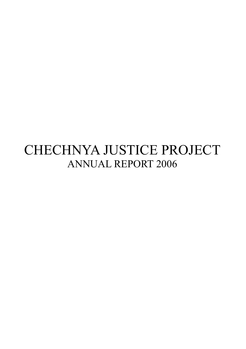# CHECHNYA JUSTICE PROJECT ANNUAL REPORT 2006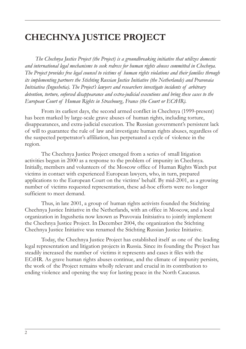# **CHECHNYA JUSTICE PROJECT**

*The Chechnya Justice Project (the Project) is a groundbreaking initiative that utilizes domestic and international legal mechanisms to seek redress for human rights abuses committed in Chechnya. The Project provides free legal counsel to victims of human rights violations and their families through its implementing partners the Stichting Russian Justice Initiative (the Netherlands) and Pravovaia Initsiativa (Ingushetia). The Project's lawyers and researchers investigate incidents of arbitrary detention, torture, enforced disappearance and extra-judicial executions and bring these cases to the European Court of Human Rights in Strasbourg, France (the Court or ECtHR).*

From its earliest days, the second armed conflict in Chechnya (1999-present) has been marked by large-scale grave abuses of human rights, including torture, disappearances, and extra-judicial execution. The Russian government's persistent lack of will to guarantee the rule of law and investigate human rights abuses, regardless of the suspected perpetrator's affiliation, has perpetuated a cycle of violence in the region.

The Chechnya Justice Project emerged from a series of small litigation activities begun in 2000 as a response to the problem of impunity in Chechnya. Initially, members and volunteers of the Moscow office of Human Rights Watch put victims in contact with experienced European lawyers, who, in turn, prepared applications to the European Court on the victims' behalf. By mid-2001, as a growing number of victims requested representation, these ad-hoc efforts were no longer sufficient to meet demand.

Thus, in late 2001, a group of human rights activists founded the Stichting Chechnya Justice Initiative in the Netherlands, with an office in Moscow, and a local organization in Ingushetia now known as Pravovaia Initsiativa to jointly implement the Chechnya Justice Project. In December 2004, the organization the Stichting Chechnya Justice Initiative was renamed the Stichting Russian Justice Initiative.

Today, the Chechnya Justice Project has established itself as one of the leading legal representation and litigation projects in Russia. Since its founding the Project has steadily increased the number of victims it represents and cases it files with the ECtHR. As grave human rights abuses continue, and the climate of impunity persists, the work of the Project remains wholly relevant and crucial in its contribution to ending violence and opening the way for lasting peace in the North Caucasus.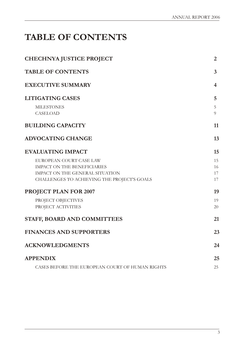# **TABLE OF CONTENTS**

| <b>CHECHNYA JUSTICE PROJECT</b>                 | 2              |
|-------------------------------------------------|----------------|
| <b>TABLE OF CONTENTS</b>                        | 3              |
| <b>EXECUTIVE SUMMARY</b>                        | 4              |
| <b>LITIGATING CASES</b>                         | 5              |
| <b>MILESTONES</b>                               | 5              |
| CASELOAD                                        | $\overline{Q}$ |
| <b>BUILDING CAPACITY</b>                        | 11             |
| <b>ADVOCATING CHANGE</b>                        | 13             |
| <b>EVALUATING IMPACT</b>                        | 15             |
| EUROPEAN COURT CASE LAW                         | 15             |
| <b>IMPACT ON THE BENEFICIARIES</b>              | 16             |
| IMPACT ON THE GENERAL SITUATION                 | 17             |
| CHALLENGES TO ACHIEVING THE PROJECT'S GOALS     | 17             |
| PROJECT PLAN FOR 2007                           | 19             |
| PROJECT OBJECTIVES                              | 19             |
| PROJECT ACTIVITIES                              | 20             |
| STAFF, BOARD AND COMMITTEES                     | 21             |
| <b>FINANCES AND SUPPORTERS</b>                  | 23             |
| <b>ACKNOWLEDGMENTS</b>                          | 24             |
| <b>APPENDIX</b>                                 | 25             |
| CASES BEFORE THE EUROPEAN COURT OF HUMAN RIGHTS | 25             |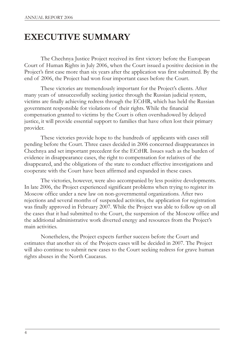# **EXECUTIVE SUMMARY**

The Chechnya Justice Project received its first victory before the European Court of Human Rights in July 2006, when the Court issued a positive decision in the Project's first case more than six years after the application was first submitted. By the end of 2006, the Project had won four important cases before the Court.

These victories are tremendously important for the Project's clients. After many years of unsuccessfully seeking justice through the Russian judicial system, victims are finally achieving redress through the ECtHR, which has held the Russian government responsible for violations of their rights. While the financial compensation granted to victims by the Court is often overshadowed by delayed justice, it will provide essential support to families that have often lost their primary provider.

These victories provide hope to the hundreds of applicants with cases still pending before the Court. Three cases decided in 2006 concerned disappearances in Chechnya and set important precedent for the ECtHR. Issues such as the burden of evidence in disappearance cases, the right to compensation for relatives of the disappeared, and the obligations of the state to conduct effective investigations and cooperate with the Court have been affirmed and expanded in these cases.

The victories, however, were also accompanied by less positive developments. In late 2006, the Project experienced significant problems when trying to register its Moscow office under a new law on non-governmental organizations. After two rejections and several months of suspended activities, the application for registration was finally approved in February 2007. While the Project was able to follow up on all the cases that it had submitted to the Court, the suspension of the Moscow office and the additional administrative work diverted energy and resources from the Project's main activities.

Nonetheless, the Project expects further success before the Court and estimates that another six of the Projects cases will be decided in 2007. The Project will also continue to submit new cases to the Court seeking redress for grave human rights abuses in the North Caucasus.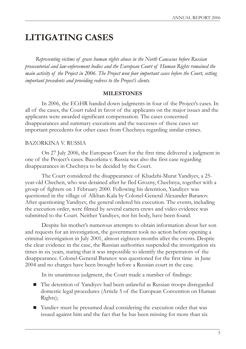# **LITIGATING CASES**

*Representing victims of grave human rights abuse in the North Caucasus before Russian prosecutorial and law-enforcement bodies and the European Court of Human Rights remained the main activity of the Project in 2006. The Project won four important cases before the Court, setting important precedents and providing redress to the Project's clients.*

#### **MILESTONES**

In 2006, the ECtHR handed down judgments in four of the Project's cases. In all of the cases, the Court ruled in favor of the applicants on the major issues and the applicants were awarded significant compensation. The cases concerned disappearances and summary executions and the successes of these cases set important precedents for other cases from Chechnya regarding similar crimes.

### BAZORKINA V. RUSSIA

On 27 July 2006, the European Court for the first time delivered a judgment in one of the Project's cases. Bazorkina v. Russia was also the first case regarding disappearances in Chechnya to be decided by the Court.

The Court considered the disappearance of Khadzhi-Murat Yandiyev, a 25 year-old Chechen, who was detained after he fled Grozny, Chechnya, together with a group of fighters on 1 February 2000. Following his detention, Yandiyev was questioned in the village of Alkhan-Kala by Colonel-General Alexander Baranov. After questioning Yandiyev, the general ordered his execution. The events, including the execution order, were filmed by several camera crews and video evidence was submitted to the Court. Neither Yandiyev, nor his body, have been found.

Despite his mother's numerous attempts to obtain information about her son and requests for an investigation, the government took no action before opening a criminal investigation in July 2001, almost eighteen months after the events. Despite the clear evidence in the case, the Russian authorities suspended the investigation six times in six years, stating that it was impossible to identify the perpetrators of the disappearance. Colonel-General Baranov was questioned for the first time in June 2004 and no charges have been brought before a Russian court in the case.

In its unanimous judgment, the Court made a number of findings:

- The detention of Yandiyev had been unlawful as Russian troops disregarded domestic legal procedures (Article 5 of the European Convention on Human Rights);
- Yandiev must be presumed dead considering the execution order that was issued against him and the fact that he has been missing for more than six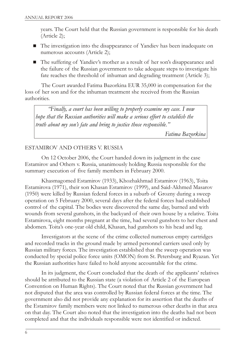years. The Court held that the Russian government is responsible for his death (Article 2);

- The investigation into the disappearance of Yandiev has been inadequate on numerous accounts (Article 2);
- The suffering of Yandiev's mother as a result of her son's disappearance and the failure of the Russian government to take adequate steps to investigate his fate reaches the threshold of inhuman and degrading treatment (Article 3);

The Court awarded Fatima Bazorkina EUR 35,000 in compensation for the loss of her son and for the inhuman treatment she received from the Russian authorities.

*"Finally, a court has been willing to properly examine my case. I now hope that the Russian authorities will make a serious effort to establish the truth about my son's fate and bring to justice those responsible."*

*Fatima Bazorkina*

### ESTAMIROV AND OTHERS V. RUSSIA

On 12 October 2006, the Court handed down its judgment in the case Estamirov and Others v. Russia, unanimously holding Russia responsible for the summary execution of five family members in February 2000.

Khasmagomed Estamirov (1933), Khozhakhmad Estamirov (1963), Toita Estamirova (1971), their son Khasan Estamirov (1999), and Said-Akhmed Masarov (1950) were killed by Russian federal forces in a suburb of Grozny during a sweep operation on 5 February 2000, several days after the federal forces had established control of the capital. The bodies were discovered the same day, burned and with wounds from several gunshots, in the backyard of their own house by a relative. Toita Estamirova, eight months pregnant at the time, had several gunshots to her chest and abdomen. Toita's one-year old child, Khasan, had gunshots to his head and leg.

Investigators at the scene of the crime collected numerous empty cartridges and recorded tracks in the ground made by armed personnel carriers used only by Russian military forces. The investigation established that the sweep operation was conducted by special police force units (OMON) from St. Petersburg and Ryazan. Yet the Russian authorities have failed to hold anyone accountable for the crime.

In its judgment, the Court concluded that the death of the applicants' relatives should be attributed to the Russian state (a violation of Article 2 of the European Convention on Human Rights). The Court noted that the Russian government had not disputed that the area was controlled by Russian federal forces at the time. The government also did not provide any explanation for its assertion that the deaths of the Estamirov family members were not linked to numerous other deaths in that area on that day. The Court also noted that the investigation into the deaths had not been completed and that the individuals responsible were not identified or indicted.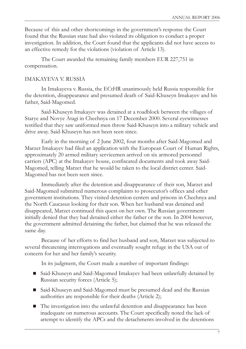Because of this and other shortcomings in the government's response the Court found that the Russian state had also violated its obligation to conduct a proper investigation. In addition, the Court found that the applicants did not have access to an effective remedy for the violations (violation of Article 13).

The Court awarded the remaining family members EUR 227,751 in compensation.

### IMAKAYEVA V. RUSSIA

In Imakayeva v. Russia, the ECtHR unanimously held Russia responsible for the detention, disappearance and presumed death of Said-Khuseyn Imakayev and his father, Said-Magomed.

Said-Khuseyn Imakayev was detained at a roadblock between the villages of Starye and Novye Atagi in Chechnya on 17 December 2000. Several eyewitnesses testified that they saw uniformed men throw Said-Khuseyn into a military vehicle and drive away. Said-Khuseyn has not been seen since.

Early in the morning of 2 June 2002, four months after Said-Magomed and Marzet Imakayev had filed an application with the European Court of Human Rights, approximately 20 armed military servicemen arrived on six armored personnel carriers (APC) at the Imakayev house, confiscated documents and took away Said-Magomed, telling Marzet that he would be taken to the local district center. Said-Magomed has not been seen since.

Immediately after the detention and disappearance of their son, Marzet and Said-Magomed submitted numerous complaints to prosecutor's offices and other government institutions. They visited detention centers and prisons in Chechnya and the North Caucasus looking for their son. When her husband was detained and disappeared, Marzet continued this quest on her own. The Russian government initially denied that they had detained either the father or the son. In 2004 however, the government admitted detaining the father, but claimed that he was released the same day.

Because of her efforts to find her husband and son, Marzet was subjected to several threatening interrogations and eventually sought refuge in the USA out of concern for her and her family's security.

In its judgment, the Court made a number of important findings:

- Said-Khuseyn and Said-Magomed Imakayev had been unlawfully detained by Russian security forces (Article 5);
- Said-Khuseyn and Said-Magomed must be presumed dead and the Russian authorities are responsible for their deaths (Article 2);
- The investigation into the unlawful detention and disappearance has been inadequate on numerous accounts. The Court specifically noted the lack of attempt to identify the APCs and the detachments involved in the detentions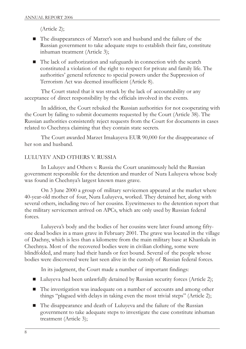(Article 2);

- The disappearances of Marzet's son and husband and the failure of the Russian government to take adequate steps to establish their fate, constitute inhuman treatment (Article 3);
- The lack of authorization and safeguards in connection with the search constituted a violation of the right to respect for private and family life. The authorities' general reference to special powers under the Suppression of Terrorism Act was deemed insufficient (Article 8).

The Court stated that it was struck by the lack of accountability or any acceptance of direct responsibility by the officials involved in the events.

In addition, the Court rebuked the Russian authorities for not cooperating with the Court by failing to submit documents requested by the Court (Article 38). The Russian authorities consistently reject requests from the Court for documents in cases related to Chechnya claiming that they contain state secrets.

The Court awarded Marzet Imakayeva EUR 90,000 for the disappearance of her son and husband.

### LULUYEV AND OTHERS V. RUSSIA

In Luluyev and Others v. Russia the Court unanimously held the Russian government responsible for the detention and murder of Nura Luluyeva whose body was found in Chechnya's largest known mass grave.

On 3 June 2000 a group of military servicemen appeared at the market where 40-year-old mother of four, Nura Luluyeva, worked. They detained her, along with several others, including two of her cousins. Eyewitnesses to the detention report that the military servicemen arrived on APCs, which are only used by Russian federal forces.

Luluyeva's body and the bodies of her cousins were later found among fiftyone dead bodies in a mass grave in February 2001. The grave was located in the village of Dachny, which is less than a kilometre from the main military base at Khankala in Chechnya. Most of the recovered bodies were in civilian clothing, some were blindfolded, and many had their hands or feet bound. Several of the people whose bodies were discovered were last seen alive in the custody of Russian federal forces.

In its judgment, the Court made a number of important findings:

- Luluyeva had been unlawfully detained by Russian security forces (Article 2);
- The investigation was inadequate on a number of accounts and among other things "plagued with delays in taking even the most trivial steps" (Article 2);
- The disappearance and death of Luluyeva and the failure of the Russian government to take adequate steps to investigate the case constitute inhuman treatment (Article 3);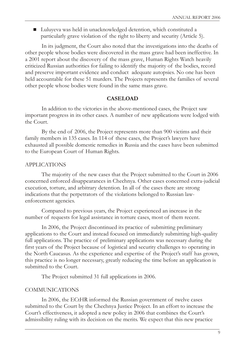■ Luluyeva was held in unacknowledged detention, which constituted a particularly grave violation of the right to liberty and security (Article 5).

In its judgment, the Court also noted that the investigations into the deaths of other people whose bodies were discovered in the mass grave had been ineffective. In a 2001 report about the discovery of the mass grave, Human Rights Watch heavily criticized Russian authorities for failing to identify the majority of the bodies, record and preserve important evidence and conduct adequate autopsies. No one has been held accountable for these 51 murders. The Projects represents the families of several other people whose bodies were found in the same mass grave.

#### **CASELOAD**

In addition to the victories in the above-mentioned cases, the Project saw important progress in its other cases. A number of new applications were lodged with the Court.

By the end of 2006, the Project represents more than 900 victims and their family members in 135 cases. In 114 of these cases, the Project's lawyers have exhausted all possible domestic remedies in Russia and the cases have been submitted to the European Court of Human Rights.

#### APPLICATIONS

The majority of the new cases that the Project submitted to the Court in 2006 concerned enforced disappearances in Chechnya. Other cases concerned extra-judicial execution, torture, and arbitrary detention. In all of the cases there are strong indications that the perpetrators of the violations belonged to Russian lawenforcement agencies.

Compared to previous years, the Project experienced an increase in the number of requests for legal assistance in torture cases, most of them recent.

In 2006, the Project discontinued its practice of submitting preliminary applications to the Court and instead focused on immediately submitting high-quality full applications. The practice of preliminary applications was necessary during the first years of the Project because of logistical and security challenges to operating in the North Caucasus. As the experience and expertise of the Project's staff has grown, this practice is no longer necessary, greatly reducing the time before an application is submitted to the Court.

The Project submitted 31 full applications in 2006.

#### COMMUNICATIONS

In 2006, the ECtHR informed the Russian government of twelve cases submitted to the Court by the Chechnya Justice Project. In an effort to increase the Court's effectiveness, it adopted a new policy in 2006 that combines the Court's admissibility ruling with its decision on the merits. We expect that this new practice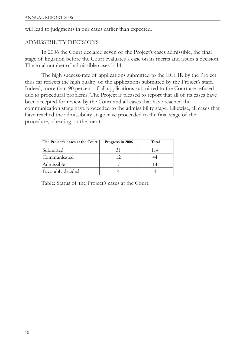will lead to judgments in our cases earlier than expected.

### ADMISSIBILITY DECISIONS

In 2006 the Court declared seven of the Project's cases admissible, the final stage of litigation before the Court evaluates a case on its merits and issues a decision. The total number of admissible cases is 14.

The high success-rate of applications submitted to the ECtHR by the Project thus far reflects the high quality of the applications submitted by the Project's staff. Indeed, more than 90 percent of all applications submitted to the Court are refused due to procedural problems. The Project is pleased to report that all of its cases have been accepted for review by the Court and all cases that have reached the communication stage have proceeded to the admissibility stage. Likewise, all cases that have reached the admissibility stage have proceeded to the final stage of the procedure, a hearing on the merits.

| The Project's cases at the Court | Progress in 2006 | Total |
|----------------------------------|------------------|-------|
| Submitted                        |                  | 114   |
| Communicated                     | 12               |       |
| Admissible                       |                  |       |
| Favorably decided                |                  |       |

Table: Status of the Project's cases at the Court.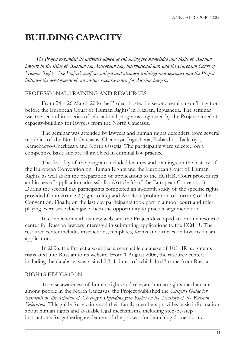# **BUILDING CAPACITY**

*The Project expanded its activities aimed at enhancing the knowledge and skills of Russian lawyers in the fields of Russian law, European law, international law, and the European Court of Human Rights. The Project's staff organized and attended trainings and seminars and the Project initiated the development of an on-line resource center for Russian lawyers.*

#### PROFESSIONAL TRAINING AND RESOURCES

From 24 – 26 March 2006 the Project hosted its second seminar on 'Litigation before the European Court of Human Rights' in Nazran, Ingushetia. The seminar was the second in a series of educational programs organized by the Project aimed at capacity-building for lawyers from the North Caucasus.

The seminar was attended by lawyers and human rights defenders from several republics of the North Caucasus: Chechnya, Ingushetia, Kabardino-Balkariya, Karachaevo-Cherkessia and North Ossetia. The participants were selected on a competitive basis and are all involved in criminal law practice.

The first day of the program included lectures and trainings on the history of the European Convention on Human Rights and the European Court of Human Rights, as well as on the preparation of applications to the ECtHR, Court procedures and issues of application admissibility (Article 35 of the European Convention). During the second day participants completed an in-depth study of the specific rights provided for in Article 2 (right to life) and Article 3 (prohibition of torture) of the Convention. Finally, on the last day participants took part in a moot court and roleplaying exercises, which gave them the opportunity to practice argumentation.

In connection with its new web-site, the Project developed an on-line resource center for Russian lawyers interested in submitting applications to the ECtHR. The resource center includes instructions, templates, forms and articles on how to file an application.

In 2006, the Project also added a searchable database of ECtHR judgments translated into Russian to its website. From 1 August 2006, the resource center, including the database, was visited 2,311 times, of which 1,617 came from Russia.

### RIGHTS EDUCATION

To raise awareness of human rights and relevant human rights mechanisms among people in the North Caucasus, the Project published the *Citizen's Guide for Residents of the Republic of Chechnya: Defending your Rights on the Territory of the Russian Federation*. This guide for victims and their family members provides basic information about human rights and available legal mechanisms, including step-by-step instructions for gathering evidence and the process for launching domestic and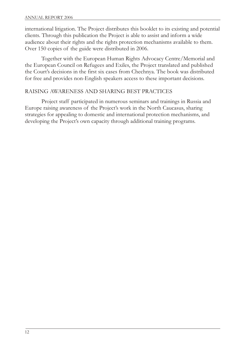international litigation. The Project distributes this booklet to its existing and potential clients. Through this publication the Project is able to assist and inform a wide audience about their rights and the rights protection mechanisms available to them. Over 150 copies of the guide were distributed in 2006.

Together with the European Human Rights Advocacy Centre/Memorial and the European Council on Refugees and Exiles, the Project translated and published the Court's decisions in the first six cases from Chechnya. The book was distributed for free and provides non-English speakers access to these important decisions.

### RAISING AWARENESS AND SHARING BEST PRACTICES

Project staff participated in numerous seminars and trainings in Russia and Europe raising awareness of the Project's work in the North Caucasus, sharing strategies for appealing to domestic and international protection mechanisms, and developing the Project's own capacity through additional training programs.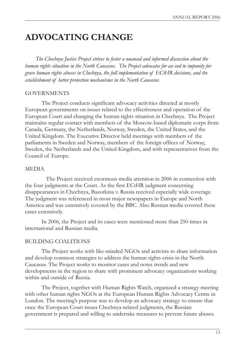# **ADVOCATING CHANGE**

*The Chechnya Justice Project strives to foster a nuanced and informed discussion about the human rights situation in the North Caucasus. The Project advocates for an end to impunity for grave human rights abuses in Chechnya, the full implementation of ECtHR decisions, and the establishment of better protection mechanisms in the North Caucasus.*

#### **GOVERNMENTS**

The Project conducts significant advocacy activities directed at mostly European governments on issues related to the effectiveness and operation of the European Court and changing the human rights situation in Chechnya. The Project maintains regular contact with members of the Moscow-based diplomatic corps from Canada, Germany, the Netherlands, Norway, Sweden, the United States, and the United Kingdom. The Executive Director held meetings with members of the parliaments in Sweden and Norway, members of the foreign offices of Norway, Sweden, the Netherlands and the United Kingdom, and with representatives from the Council of Europe.

### MEDIA

The Project received enormous media attention in 2006 in connection with the four judgments at the Court. As the first ECtHR judgment concerning disappearances in Chechnya, Bazorkina v. Russia received especially wide coverage. The judgment was referenced in most major newspapers in Europe and North America and was extensively covered by the BBC. Also Russian media covered these cases extensively.

In 2006, the Project and its cases were mentioned more than 250 times in international and Russian media.

### BUILDING COALITIONS

The Project works with like-minded NGOs and activists to share information and develop common strategies to address the human rights crisis in the North Caucasus. The Project works to monitor cases and notes trends and new developments in the region to share with prominent advocacy organizations working within and outside of Russia.

The Project, together with Human Rights Watch, organized a strategy meeting with other human rights NGOs at the European Human Rights Advocacy Centre in London. The meeting's purpose was to develop an advocacy strategy to ensure that once the European Court issues Chechnya-related judgments, the Russian government is prepared and willing to undertake measures to prevent future abuses.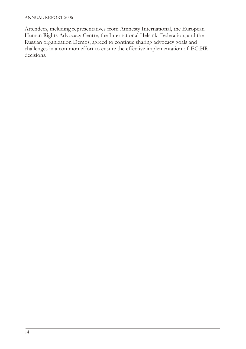Attendees, including representatives from Amnesty International, the European Human Rights Advocacy Centre, the International Helsinki Federation, and the Russian organization Demos, agreed to continue sharing advocacy goals and challenges in a common effort to ensure the effective implementation of ECtHR decisions.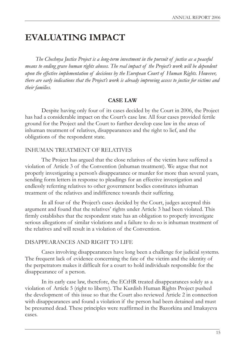# **EVALUATING IMPACT**

*The Chechnya Justice Project is a long-term investment in the pursuit of justice as a peaceful means to ending grave human rights abuses. The real impact of the Project's work will be dependent upon the effective implementation of decisions by the European Court of Human Rights. However, there are early indications that the Project's work is already improving access to justice for victims and their families.*

#### **CASE LAW**

Despite having only four of its cases decided by the Court in 2006, the Project has had a considerable impact on the Court's case law. All four cases provided fertile ground for the Project and the Court to further develop case law in the areas of inhuman treatment of relatives, disappearances and the right to lief, and the obligations of the respondent state.

### INHUMAN TREATMENT OF RELATIVES

The Project has argued that the close relatives of the victim have suffered a violation of Article 3 of the Convention (inhuman treatment). We argue that not properly investigating a person's disappearance or murder for more than several years, sending form letters in response to pleadings for an effective investigation and endlessly referring relatives to other government bodies constitutes inhuman treatment of the relatives and indifference towards their suffering.

In all four of the Project's cases decided by the Court, judges accepted this argument and found that the relatives' rights under Article 3 had been violated. This firmly establishes that the respondent state has an obligation to properly investigate serious allegations of similar violations and a failure to do so is inhuman treatment of the relatives and will result in a violation of the Convention.

### DISAPPEARANCES AND RIGHT TO LIFE

Cases involving disappearances have long been a challenge for judicial systems. The frequent lack of evidence concerning the fate of the victim and the identity of the perpetrators makes it difficult for a court to hold individuals responsible for the disappearance of a person.

In its early case law, therefore, the ECtHR treated disappearances solely as a violation of Article 5 (right to liberty). The Kurdish Human Rights Project pushed the development of this issue so that the Court also reviewed Article 2 in connection with disappearances and found a violation if the person had been detained and must be presumed dead. These principles were reaffirmed in the Bazorkina and Imakayeva cases.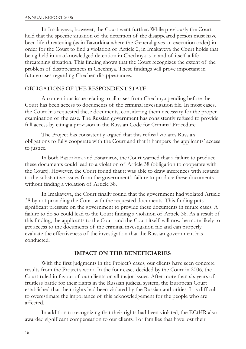In Imakayeva, however, the Court went further. While previously the Court held that the specific situation of the detention of the disappeared person must have been life-threatening (as in Bazorkina where the General gives an execution order) in order for the Court to find a violation of Article 2, in Imakayeva the Court holds that being held in unacknowledged detention in Chechnya is in and of itself a lifethreatening situation. This finding shows that the Court recognizes the extent of the problem of disappearances in Chechnya. These findings will prove important in future cases regarding Chechen disappearances.

### OBLIGATIONS OF THE RESPONDENT STATE

A contentious issue relating to all cases from Chechnya pending before the Court has been access to documents of the criminal investigation file. In most cases, the Court has requested these documents, considering them necessary for the proper examination of the case. The Russian government has consistently refused to provide full access by citing a provision in the Russian Code for Criminal Procedure.

The Project has consistently argued that this refusal violates Russia's obligations to fully cooperate with the Court and that it hampers the applicants' access to justice.

In both Bazorkina and Estamirov, the Court warned that a failure to produce these documents could lead to a violation of Article 38 (obligation to cooperate with the Court). However, the Court found that it was able to draw inferences with regards to the substantive issues from the government's failure to produce these documents without finding a violation of Article 38.

In Imakayeva, the Court finally found that the government had violated Article 38 by not providing the Court with the requested documents. This finding puts significant pressure on the government to provide these documents in future cases. A failure to do so could lead to the Court finding a violation of Article 38. As a result of this finding, the applicants to the Court and the Court itself will now be more likely to get access to the documents of the criminal investigation file and can properly evaluate the effectiveness of the investigation that the Russian government has conducted.

#### **IMPACT ON THE BENEFICIARIES**

With the first judgments in the Project's cases, our clients have seen concrete results from the Project's work. In the four cases decided by the Court in 2006, the Court ruled in favour of our clients on all major issues. After more than six years of fruitless battle for their rights in the Russian judicial system, the European Court established that their rights had been violated by the Russian authorities. It is difficult to overestimate the importance of this acknowledgement for the people who are affected.

In addition to recognizing that their rights had been violated, the ECtHR also awarded significant compensation to our clients. For families that have lost their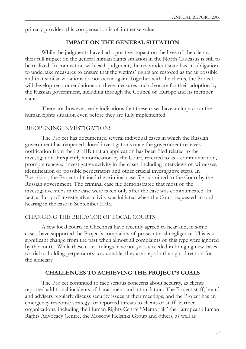primary provider, this compensation is of immense value.

#### **IMPACT ON THE GENERAL SITUATION**

While the judgments have had a positive impact on the lives of the clients, their full impact on the general human rights situation in the North Caucasus is still to be realized. In connection with each judgment, the respondent state has an obligation to undertake measures to ensure that the victims' rights are restored as far as possible and that similar violations do not occur again. Together with the clients, the Project will develop recommendations on these measures and advocate for their adoption by the Russian government, including through the Council of Europe and its member states.

There are, however, early indications that these cases have an impact on the human rights situation even before they are fully implemented.

#### RE-OPENING INVESTIGATIONS

The Project has documented several individual cases in which the Russian government has reopened closed investigations once the government receives notification from the ECtHR that an application has been filed related to the investigation. Frequently a notification by the Court, referred to as a communication, prompts renewed investigative activity in the cases, including interviews of witnesses, identification of possible perpetrators and other crucial investigative steps. In Bazorkina, the Project obtained the criminal case file submitted to the Court by the Russian government. The criminal case file demonstrated that most of the investigative steps in the case were taken only after the case was communicated. In fact, a flurry of investigative activity was initiated when the Court requested an oral hearing in the case in September 2005.

#### CHANGING THE BEHAVIOR OF LOCAL COURTS

A few local courts in Chechnya have recently agreed to hear and, in some cases, have supported the Project's complaints of prosecutorial negligence. This is a significant change from the past when almost all complaints of this type were ignored by the courts. While these court rulings have not yet succeeded in bringing new cases to trial or holding perpetrators accountable, they are steps in the right direction for the judiciary.

#### **CHALLENGES TO ACHIEVING THE PROJECT'S GOALS**

The Project continued to face serious concerns about security, as clients reported additional incidents of harassment and intimidation. The Project staff, board and advisers regularly discuss security issues at their meetings, and the Project has an emergency response strategy for reported threats to clients or staff. Partner organizations, including the Human Rights Centre "Memorial," the European Human Rights Advocacy Centre, the Moscow Helsinki Group and others, as well as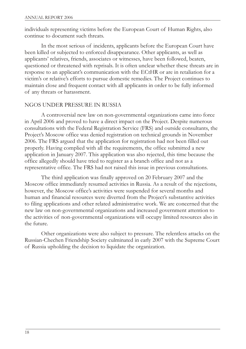individuals representing victims before the European Court of Human Rights, also continue to document such threats.

In the most serious of incidents, applicants before the European Court have been killed or subjected to enforced disappearance. Other applicants, as well as applicants' relatives, friends, associates or witnesses, have been followed, beaten, questioned or threatened with reprisals. It is often unclear whether these threats are in response to an applicant's communication with the ECtHR or are in retaliation for a victim's or relative's efforts to pursue domestic remedies. The Project continues to maintain close and frequent contact with all applicants in order to be fully informed of any threats or harassment.

#### NGOS UNDER PRESSURE IN RUSSIA

A controversial new law on non-governmental organizations came into force in April 2006 and proved to have a direct impact on the Project. Despite numerous consultations with the Federal Registration Service (FRS) and outside consultants, the Project's Moscow office was denied registration on technical grounds in November 2006. The FRS argued that the application for registration had not been filled out properly. Having complied with all the requirements, the office submitted a new application in January 2007. This application was also rejected, this time because the office allegedly should have tried to register as a branch office and not as a representative office. The FRS had not raised this issue in previous consultations.

The third application was finally approved on 20 February 2007 and the Moscow office immediately resumed activities in Russia. As a result of the rejections, however, the Moscow office's activities were suspended for several months and human and financial resources were diverted from the Project's substantive activities to filing applications and other related administrative work. We are concerned that the new law on non-governmental organizations and increased government attention to the activities of non-governmental organizations will occupy limited resources also in the future.

Other organizations were also subject to pressure. The relentless attacks on the Russian-Chechen Friendship Society culminated in early 2007 with the Supreme Court of Russia upholding the decision to liquidate the organization.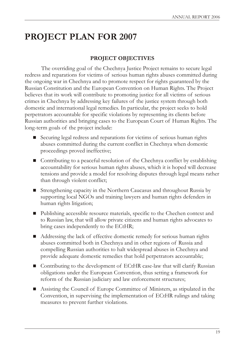# **PROJECT PLAN FOR 2007**

## **PROJECT OBJECTIVES**

The overriding goal of the Chechnya Justice Project remains to secure legal redress and reparations for victims of serious human rights abuses committed during the ongoing war in Chechnya and to promote respect for rights guaranteed by the Russian Constitution and the European Convention on Human Rights. The Project believes that its work will contribute to promoting justice for all victims of serious crimes in Chechnya by addressing key failures of the justice system through both domestic and international legal remedies. In particular, the project seeks to hold perpetrators accountable for specific violations by representing its clients before Russian authorities and bringing cases to the European Court of Human Rights. The long-term goals of the project include:

- Securing legal redress and reparations for victims of serious human rights abuses committed during the current conflict in Chechnya when domestic proceedings proved ineffective;
- Contributing to a peaceful resolution of the Chechnya conflict by establishing accountability for serious human rights abuses, which it is hoped will decrease tensions and provide a model for resolving disputes through legal means rather than through violent conflict;
- Strengthening capacity in the Northern Caucasus and throughout Russia by supporting local NGOs and training lawyers and human rights defenders in human rights litigation;
- Publishing accessible resource materials, specific to the Chechen context and to Russian law, that will allow private citizens and human rights advocates to bring cases independently to the ECtHR;
- Addressing the lack of effective domestic remedy for serious human rights abuses committed both in Chechnya and in other regions of Russia and compelling Russian authorities to halt widespread abuses in Chechnya and provide adequate domestic remedies that hold perpetrators accountable;
- Contributing to the development of ECtHR case-law that will clarify Russian obligations under the European Convention, thus setting a framework for reform of the Russian judiciary and law enforcement structures;
- n Assisting the Council of Europe Committee of Ministers, as stipulated in the Convention, in supervising the implementation of ECtHR rulings and taking measures to prevent further violations.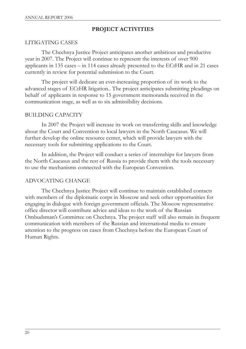### **PROJECT ACTIVITIES**

### LITIGATING CASES

The Chechnya Justice Project anticipates another ambitious and productive year in 2007. The Project will continue to represent the interests of over 900 applicants in 135 cases – in 114 cases already presented to the ECtHR and in 21 cases currently in review for potential submission to the Court.

The project will dedicate an ever-increasing proportion of its work to the advanced stages of ECtHR litigation.. The project anticipates submitting pleadings on behalf of applicants in response to 15 government memoranda received in the communication stage, as well as to six admissibility decisions.

### BUILDING CAPACITY

In 2007 the Project will increase its work on transferring skills and knowledge about the Court and Convention to local lawyers in the North Caucasus. We will further develop the online resource center, which will provide lawyers with the necessary tools for submitting applications to the Court.

In addition, the Project will conduct a series of internships for lawyers from the North Caucasus and the rest of Russia to provide them with the tools necessary to use the mechanisms connected with the European Convention.

### ADVOCATING CHANGE

The Chechnya Justice Project will continue to maintain established contacts with members of the diplomatic corps in Moscow and seek other opportunities for engaging in dialogue with foreign government officials. The Moscow representative office director will contribute advice and ideas to the work of the Russian Ombudsman's Committee on Chechnya. The project staff will also remain in frequent communication with members of the Russian and international media to ensure attention to the progress on cases from Chechnya before the European Court of Human Rights.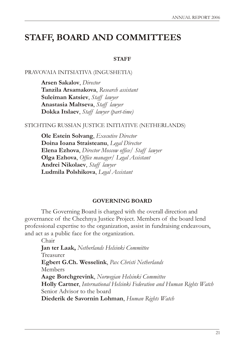# **STAFF, BOARD AND COMMITTEES**

#### **STAFF**

#### PRAVOVAIA INITSIATIVA (INGUSHETIA)

**Arsen Sakalov**, *Director* **Tanzila Arsamakova**, *Research assistant* **Suleiman Katsiev**, *Staff lawyer* **Anastasia Maltseva**, *Staff lawyer* **Dokka Itslaev**, *Staff lawyer (part-time)*

#### STICHTING RUSSIAN JUSTICE INITIATIVE (NETHERLANDS)

**Ole Estein Solvang**, *Executive Director*  **Doina Ioana Straisteanu**, *Legal Director* **Elena Ezhova**, *Director Moscow office/ Staff lawyer* **Olga Ezhova**, *Office manager/ Legal Assistant* **Andrei Nikolaev**, *Staff lawyer* **Ludmila Polshikova**, *Legal Assistant* 

#### **GOVERNING BOARD**

The Governing Board is charged with the overall direction and governance of the Chechnya Justice Project. Members of the board lend professional expertise to the organization, assist in fundraising endeavours, and act as a public face for the organization.

Chair **Jan ter Laak,** *Netherlands Helsinki Committee* Treasurer **Egbert G.Ch. Wesselink**, *Pax Christi Netherlands* Members **Aage Borchgrevink**, *Norwegian Helsinki Committee* **Holly Cartner**, *International Helsinki Federation and Human Rights Watch* Senior Advisor to the board **Diederik de Savornin Lohman**, *Human Rights Watch*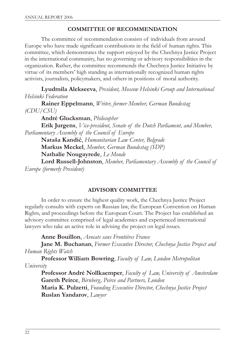### **COMMITTEE OF RECOMMENDATION**

The committee of recommendation consists of individuals from around Europe who have made significant contributions in the field of human rights. This committee, which demonstrates the support enjoyed by the Chechnya Justice Project in the international community, has no governing or advisory responsibilities in the organization. Rather, the committee recommends the Chechnya Justice Initiative by virtue of its members' high standing as internationally recognized human rights activists, journalists, policymakers, and others in positions of moral authority.

**Lyudmila Alekseeva**, *President, Moscow Helsinki Group and International Helsinki Federation*

**Rainer Eppelmann**, *Writer, former Member, German Bundestag (CDU/CSU)* 

**André Glucksman**, *Philosopher*

**Erik Jurgens**, *Vice-president, Senate of the Dutch Parliament, and Member, Parliamentary Assembly of the Council of Europe*

**Nataša Kandiã**, *Humanitarian Law Center, Belgrade*

**Markus Meckel**, *Member, German Bundestag (SDP)*

**Nathalie Nougayrede**, *Le Monde*

**Lord Russell-Johnston**, *Member, Parliamentary Assembly of the Council of Europe (formerly President)*

### **ADVISORY COMMITTEE**

In order to ensure the highest quality work, the Chechnya Justice Project regularly consults with experts on Russian law, the European Convention on Human Rights, and proceedings before the European Court. The Project has established an advisory committee comprised of legal academics and experienced international lawyers who take an active role in advising the project on legal issues.

**Anne Bouillon**, *Avocats sans Frontiéres France*

**Jane M. Buchanan**, *Former Executive Director, Chechnya Justice Project and Human Rights Watch*

**Professor William Bowring**, *Faculty of Law, London Metropolitan University* 

**Professor André Nollkaemper**, *Faculty of Law, University of Amsterdam*  **Gareth Peirce**, *Birnberg, Peirce and Partners, London* **Maria K. Pulzetti**, *Founding Executive Director, Chechnya Justice Project*  **Ruslan Yandarov**, *Lawyer*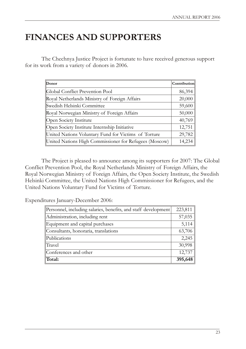# **FINANCES AND SUPPORTERS**

The Chechnya Justice Project is fortunate to have received generous support for its work from a variety of donors in 2006.

| Donor                                                  | Contribution |
|--------------------------------------------------------|--------------|
| Global Conflict Prevention Pool                        | 86,394       |
| Royal Netherlands Ministry of Foreign Affairs          | 20,000       |
| Swedish Helsinki Committee                             | 59,600       |
| Royal Norwegian Ministry of Foreign Affairs            | 50,000       |
| Open Society Institute                                 | 40,769       |
| Open Society Institute Internship Initiative           | 12,751       |
| United Nations Voluntary Fund for Victims of Torture   | 29,782       |
| United Nations High Commissioner for Refugees (Moscow) | 14,234       |

The Project is pleased to announce among its supporters for 2007: The Global Conflict Prevention Pool, the Royal Netherlands Ministry of Foreign Affairs, the Royal Norwegian Ministry of Foreign Affairs, the Open Society Institute, the Swedish Helsinki Committee, the United Nations High Commissioner for Refugees, and the United Nations Voluntary Fund for Victims of Torture.

Expenditures January-December 2006:

| Personnel, including salaries, benefits, and staff development | 223,811 |
|----------------------------------------------------------------|---------|
| Administration, including rent                                 | 57,035  |
| Equipment and capital purchases                                | 5,114   |
| Consultants, honoraria, translations                           | 63,706  |
| Publications                                                   | 2,245   |
| Travel                                                         | 30,998  |
| Conferences and other                                          | 12,737  |
| Total:                                                         | 395,648 |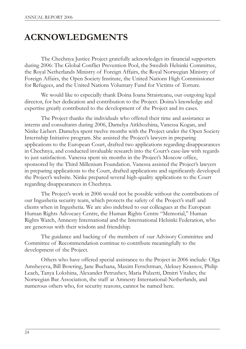# **ACKNOWLEDGMENTS**

The Chechnya Justice Project gratefully acknowledges its financial supporters during 2006: The Global Conflict Prevention Pool, the Swedish Helsinki Committee, the Royal Netherlands Ministry of Foreign Affairs, the Royal Norwegian Ministry of Foreign Affairs, the Open Society Institute, the United Nations High Commissioner for Refugees, and the United Nations Voluntary Fund for Victims of Torture.

We would like to especially thank Doina Ioana Straisteanu, our outgoing legal director, for her dedication and contribution to the Project. Doina's knowledge and expertise greatly contributed to the development of the Project and its cases.

The Project thanks the individuals who offered their time and assistance as interns and consultants during 2006, Damelya Aitkhozhina, Vanessa Kogan, and Ninke Liebert. Damelya spent twelve months with the Project under the Open Society Internship Initiative program. She assisted the Project's lawyers in preparing applications to the European Court, drafted two applications regarding disappearances in Chechnya, and conducted invaluable research into the Court's case-law with regards to just satisfaction. Vanessa spent six months in the Project's Moscow office, sponsored by the Third Millenium Foundation. Vanessa assisted the Project's lawyers in preparing applications to the Court, drafted applications and significantly developed the Project's website. Ninke prepared several high-quality applications to the Court regarding disappearances in Chechnya.

The Project's work in 2006 would not be possible without the contributions of our Ingushetia security team, which protects the safety of the Project's staff and clients when in Ingushetia. We are also indebted to our colleagues at the European Human Rights Advocacy Centre, the Human Rights Centre "Memorial," Human Rights Watch, Amnesty International and the International Helsinki Federation, who are generous with their wisdom and friendship.

The guidance and backing of the members of our Advisory Committee and Committee of Recommendation continue to contribute meaningfully to the development of the Project.

Others who have offered special assistance to the Project in 2006 include: Olga Amsheyeva, Bill Bowring, Jane Buchana, Maxim Ferschtman, Aleksey Krasnov, Philip Leach, Tanya Lokshina, Alexander Petrushev, Maria Pulzetti, Dmitri Vitaliev, the Norwegian Bar Association, the staff at Amnesty International-Netherlands, and numerous others who, for security reasons, cannot be named here.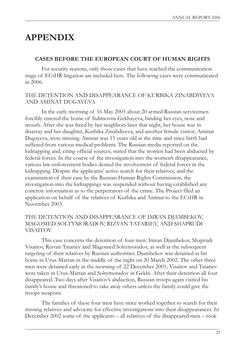# **APPENDIX**

#### **CASES BEFORE THE EUROPEAN COURT OF HUMAN RIGHTS**

For security reasons, only those cases that have reached the communication stage of ECtHR litigation are included here. The following cases were communicated in 2006:

#### THE DETENTION AND DISAPPEARANCE OF KURBIKA ZINABDIYEVA AND AMINAT DUGAYEVA

In the early morning of 16 May 2003 about 20 armed Russian servicemen forcibly entered the home of Sulimovna Gekhayeva, binding her eyes, nose and mouth. After she was freed by her neighbors later that night, her house was in disarray and her daughter, Kurbika Zinabdiyeva, and another female visitor, Aminat Dugayeva, were missing. Aminat was 15 years old at the time and since birth had suffered from various medical problems. The Russian media reported on the kidnapping and, citing official sources, stated that the women had been abducted by federal forces. In the course of the investigation into the women's disappearance, various law-enforcement bodies denied the involvement of federal forces in the kidnapping. Despite the applicants' active search for their relatives, and the examination of their case by the Russian Human Rights Commission, the investigation into the kidnappings was suspended without having established any concrete information as to the perpetrators of the crime. The Project filed an application on behalf of the relatives of Kurbika and Aminat to the ECtHR in November 2003.

### THE DETENTION AND DISAPPEARANCE OF IMRAN DJAMBEKOV, MAGOMED SOLTYMORADOV, RIZVAN TATARIEV, AND SHAPRUDI VISAITOV

This case concerns the detention of four men: Imran Djambekov, Shaprudi Visaitov, Rizvan Tatariev and Magomed Soltymoradov, as well as the subsequent targeting of their relatives by Russian authorities. Djambekov was detained at his home in Urus-Martan in the middle of the night on 20 March 2002. The other three men were detained early in the morning of 22 December 2001; Visaitov and Tatariev were taken in Urus-Martan and Soltymoradov in Gekhi. After their detention all four disappeared. Two days after Visaitov's abduction, Russian troops again visited his family's house and threatened to take away others unless the family could give the troops weapons.

The families of these four men have since worked together to search for their missing relatives and advocate for effective investigations into their disappearances. In December 2002 some of the applicants – all relatives of the disappeared men – took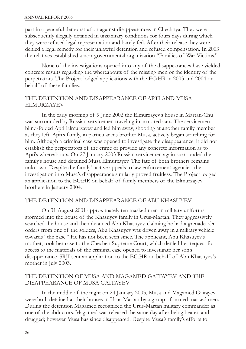part in a peaceful demonstration against disappearances in Chechnya. They were subsequently illegally detained in unsanitary conditions for fours days during which they were refused legal representation and barely fed. After their release they were denied a legal remedy for their unlawful detention and refused compensation. In 2003 the relatives established a non-governmental organization "Families of War Victims."

None of the investigations opened into any of the disappearances have yielded concrete results regarding the whereabouts of the missing men or the identity of the perpetrators. The Project lodged applications with the ECtHR in 2003 and 2004 on behalf of these families.

#### THE DETENTION AND DISAPPEARANCE OF APTI AND MUSA ELMURZAYEV

In the early morning of 9 June 2002 the Elmurzayev's house in Martan-Chu was surrounded by Russian servicemen traveling in armored cars. The servicemen blind-folded Apti Elmurzayev and led him away, shooting at another family member as they left. Apti's family, in particular his brother Musa, actively began searching for him. Although a criminal case was opened to investigate the disappearance, it did not establish the perpetrators of the crime or provide any concrete information as to Apti's whereabouts. On 27 January 2003 Russian servicemen again surrounded the family's house and detained Musa Elmurzayev. The fate of both brothers remains unknown. Despite the family's active appeals to law enforcement agencies, the investigation into Musa's disappearance similarly proved fruitless. The Project lodged an application to the ECtHR on behalf of family members of the Elmurzayev brothers in January 2004.

#### THE DETENTION AND DISAPPEARANCE OF ABU KHASUYEV

On 31 August 2001 approximately ten masked men in military uniforms stormed into the house of the Khasuyev family in Urus-Martan. They aggressively searched the house and then detained Abu Khasuyev, claiming he had a grenade. On orders from one of the solders, Abu Khasuyev was driven away in a military vehicle towards "the base." He has not been seen since. The applicant, Abu Khasuyev's mother, took her case to the Chechen Supreme Court, which denied her request for access to the materials of the criminal case opened to investigate her son's disappearance. SRJI sent an application to the ECtHR on behalf of Abu Khasuyev's mother in July 2003.

#### THE DETENTION OF MUSA AND MAGAMED GAITAYEV AND THE DISAPPEARANCE OF MUSA GAITAYEV

In the middle of the night on 24 January 2003, Musa and Magamed Gaitayev were both detained at their houses in Urus-Martan by a group of armed masked men. During the detention Magamed recognized the Urus-Martan military commander as one of the abductors. Magamed was released the same day after being beaten and drugged; however Musa has since disappeared. Despite Musa's family's efforts to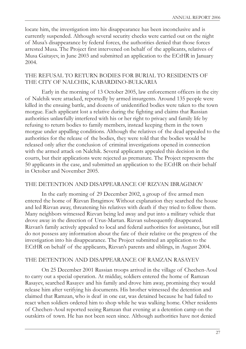locate him, the investigation into his disappearance has been inconclusive and is currently suspended. Although several security checks were carried out on the night of Musa's disappearance by federal forces, the authorities denied that those forces arrested Musa. The Project first intervened on behalf of the applicants, relatives of Musa Gaitayev, in June 2003 and submitted an application to the ECtHR in January 2004.

#### THE REFUSAL TO RETURN BODIES FOR BURIAL TO RESIDENTS OF THE CITY OF NALCHIK, KABARDINO-BULKARIA

Early in the morning of 13 October 2005, law enforcement officers in the city of Nalchik were attacked, reportedly by armed insurgents. Around 135 people were killed in the ensuing battle, and dozens of unidentified bodies were taken to the town morgue. Each applicant lost a relative during the fighting and claims that Russian authorities unlawfully interfered with his or her right to privacy and family life by refusing to return bodies to family members, instead keeping them in the town morgue under appalling conditions. Although the relatives of the dead appealed to the authorities for the release of the bodies, they were told that the bodies would be released only after the conclusion of criminal investigations opened in connection with the armed attack on Nalchik. Several applicants appealed this decision in the courts, but their applications were rejected as premature. The Project represents the 50 applicants in the case, and submitted an application to the ECtHR on their behalf in October and November 2005.

### THE DETENTION AND DISAPPEARANCE OF RIZVAN IBRAGIMOV

In the early morning of 29 December 2002, a group of five armed men entered the home of Rizvan Ibragimov. Without explanation they searched the house and led Rizvan away, threatening his relatives with death if they tried to follow them. Many neighbors witnessed Rizvan being led away and put into a military vehicle that drove away in the direction of Urus-Martan. Rizvan subsequently disappeared. Rizvan's family actively appealed to local and federal authorities for assistance, but still do not possess any information about the fate of their relative or the progress of the investigation into his disappearance. The Project submitted an application to the ECtHR on behalf of the applicants, Rizvan's parents and siblings, in August 2004.

### THE DETENTION AND DISAPPEARANCE OF RAMZAN RASAYEV

On 25 December 2001 Russian troops arrived in the village of Chechen-Aoul to carry out a special operation. At midday, soldiers entered the home of Ramzan Rasayev, searched Rasayev and his family and drove him away, promising they would release him after verifying his documents. His brother witnessed the detention and claimed that Ramzan, who is deaf in one ear, was detained because he had failed to react when soldiers ordered him to shop while he was walking home. Other residents of Chechen-Aoul reported seeing Ramzan that evening at a detention camp on the outskirts of town. He has not been seen since. Although authorities have not denied